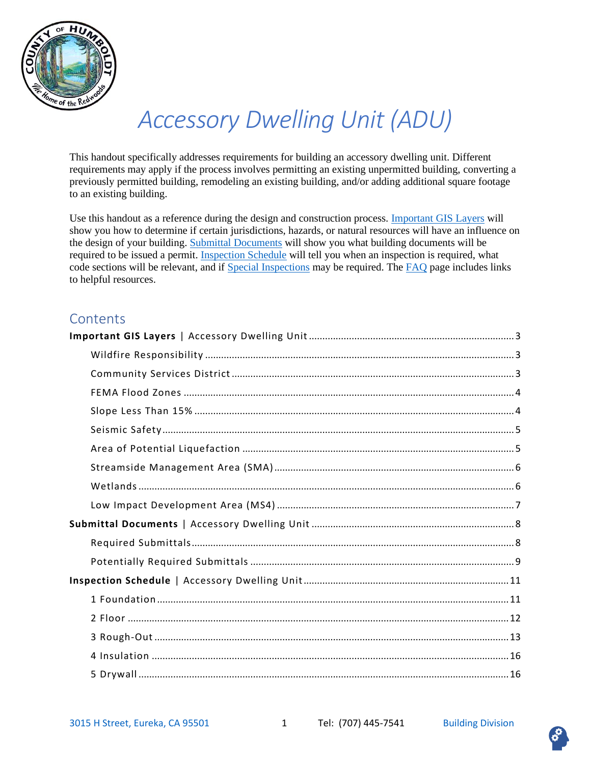

# *Accessory Dwelling Unit (ADU)*

This handout specifically addresses requirements for building an accessory dwelling unit. Different requirements may apply if the process involves permitting an existing unpermitted building, converting a previously permitted building, remodeling an existing building, and/or adding additional square footage to an existing building.

Use this handout as a reference during the design and construction process. [Important GIS Layers](#page-2-0) will show you how to determine if certain jurisdictions, hazards, or natural resources will have an influence on the design of your building[. Submittal Documents](#page-7-0) will show you what building documents will be required to be issued a permit. [Inspection Schedule](#page-10-0) will tell you when an inspection is required, what code sections will be relevant, and if [Special Inspections](#page-18-0) may be required. The [FAQ](#page-19-0) page includes links to helpful resources.

### **Contents**

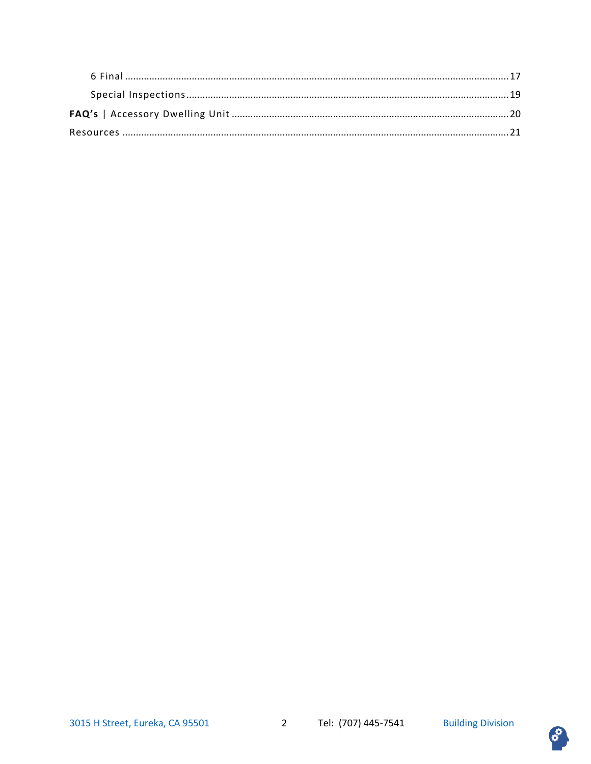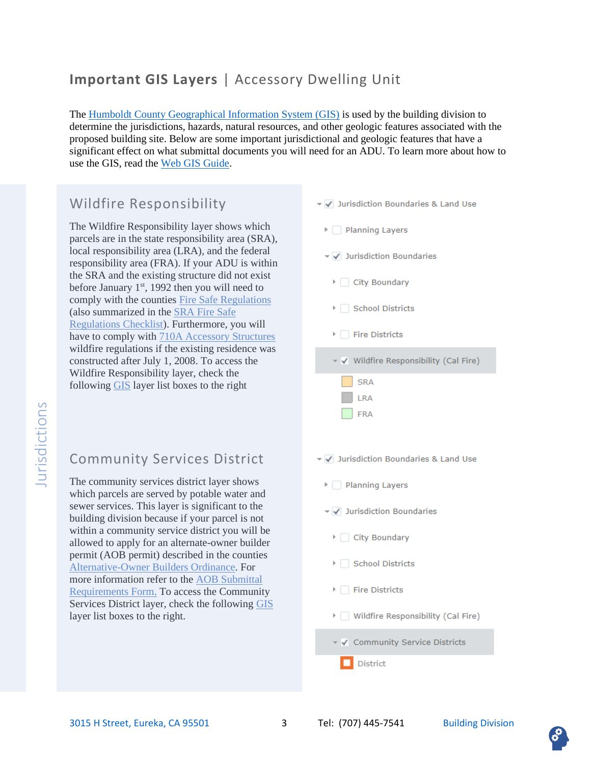# <span id="page-2-0"></span>**Important GIS Layers** | Accessory Dwelling Unit

The [Humboldt County Geographical Information System \(GIS\)](https://humboldtgov.org/1357/Web-GIS) is used by the building division to determine the jurisdictions, hazards, natural resources, and other geologic features associated with the proposed building site. Below are some important jurisdictional and geologic features that have a significant effect on what submittal documents you will need for an ADU. To learn more about how to use the GIS, read th[e Web GIS Guide.](https://humboldtgov.org/DocumentCenter/View/56189/WEBGIS2_Help?bidId=)

### <span id="page-2-1"></span>Wildfire Responsibility

The Wildfire Responsibility layer shows which parcels are in the state responsibility area (SRA), local responsibility area (LRA), and the federal responsibility area (FRA). If your ADU is within the SRA and the existing structure did not exist before January  $1<sup>st</sup>$ , 1992 then you will need to comply with the counties [Fire Safe Regulations](https://humboldt.county.codes/Code/3_Div11) (also summarized in the [SRA Fire Safe](https://humboldtgov.org/DocumentCenter/View/5362/Fire-Safe-SRA-Regulation-Checklist-for-Building-Inspection-Division-PDF)  [Regulations Checklist\)](https://humboldtgov.org/DocumentCenter/View/5362/Fire-Safe-SRA-Regulation-Checklist-for-Building-Inspection-Division-PDF). Furthermore, you will have to comply with [710A Accessory Structures](https://up.codes/viewer/california/ibc-2018/chapter/new_7A/sfm-materials-and-construction-methods-for-exterior-wildfire-exposure#new_710A) wildfire regulations if the existing residence was constructed after July 1, 2008. To access the Wildfire Responsibility layer, check the following [GIS](https://humboldtgov.org/1357/Web-GIS) layer list boxes to the right

### <span id="page-2-2"></span>Community Services District

The community services district layer shows which parcels are served by potable water and sewer services. This layer is significant to the building division because if your parcel is not within a community service district you will be allowed to apply for an alternate-owner builder permit (AOB permit) described in the counties [Alternative-Owner Builders Ordinance.](https://humboldt.county.codes/Code/331.5-2) For more information refer to the [AOB Submittal](https://humboldtgov.org/DocumentCenter/View/197/AOB-Plan-Submittal-Requirements-and-Inspections-PDF)  [Requirements Form.](https://humboldtgov.org/DocumentCenter/View/197/AOB-Plan-Submittal-Requirements-and-Inspections-PDF) To access the Community Services District layer, check the following [GIS](https://humboldtgov.org/1357/Web-GIS) layer list boxes to the right.

- ▼ Jurisdiction Boundaries & Land Use
- $\triangleright$  Planning Layers
- ▼ Jurisdiction Boundaries
- ▶ City Boundary
- ▶ School Districts
- Fire Districts
- ▼ V Wildfire Responsibility (Cal Fire)
	- **SRA** LRA FRA
- ▼ Jurisdiction Boundaries & Land Use
	- $\triangleright$  Planning Layers
	- ▼ Jurisdiction Boundaries
	- ▶ City Boundary
	- ▶ School Districts
	- Fire Districts
	- ▶ Wildfire Responsibility (Cal Fire)
	- ▼ V Community Service Districts
		- **District**

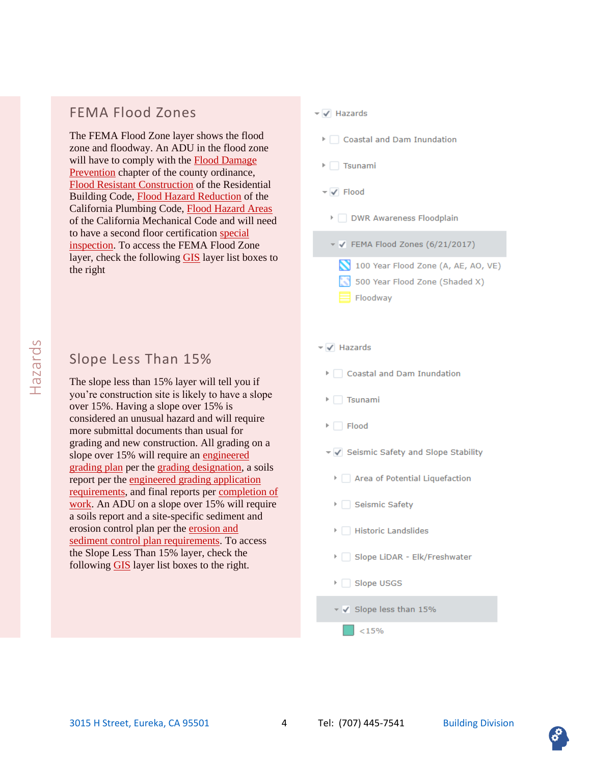### <span id="page-3-0"></span>FEMA Flood Zones

The FEMA Flood Zone layer shows the flood zone and floodway. An ADU in the flood zone will have to comply with the Flood Damage [Prevention](https://humboldt.county.codes/Code/335) chapter of the county ordinance, [Flood Resistant Construction](https://up.codes/viewer/california/irc-2018/chapter/3/building-planning#R322.1) of the Residential Building Code, [Flood Hazard Reduction](https://up.codes/viewer/california/ca-plumbing-code-2019/chapter/3/general-regulations#301.4) of the California Plumbing Code, [Flood Hazard Areas](https://up.codes/viewer/california/ca-mechanical-code-2019/chapter/3/general-regulations#305.2) of the California Mechanical Code and will need to have a second floor certification [special](#page-18-0)  [inspection.](#page-18-0) To access the FEMA Flood Zone layer, check the following [GIS](https://humboldtgov.org/1357/Web-GIS) layer list boxes to the right

### <span id="page-3-1"></span>Slope Less Than 15%

The slope less than 15% layer will tell you if you're construction site is likely to have a slope over 15%. Having a slope over 15% is considered an unusual hazard and will require more submittal documents than usual for grading and new construction. All grading on a slope over 15% will require an engineered grading plan per the [grading designation,](https://humboldt.county.codes/Code/331-14(e)(3)) a soils report per the [engineered grading application](https://humboldt.county.codes/Code/331-14(e)(4))  [requirements,](https://humboldt.county.codes/Code/331-14(e)(4)) and final reports per [completion of](https://humboldt.county.codes/Code/331-14(i))  [work.](https://humboldt.county.codes/Code/331-14(i)) An ADU on a slope over 15% will require a soils report and a site-specific sediment and erosion control plan per th[e erosion and](https://humboldt.county.codes/Code/331-14(h)(6)(D))  [sediment control plan requirements.](https://humboldt.county.codes/Code/331-14(h)(6)(D)) To access the Slope Less Than 15% layer, check the following [GIS](https://humboldtgov.org/1357/Web-GIS) layer list boxes to the right.

#### $\overline{\mathsf{v}}$  Hazards

Coastal and Dam Inundation

- $\triangleright$  Tsunami
- $\overline{\mathsf{v}}$  Flood
	- DWR Awareness Floodplain
	- $\checkmark$  FEMA Flood Zones (6/21/2017)
		- 100 Year Flood Zone (A, AE, AO, VE)
		- 500 Year Flood Zone (Shaded X)
		- Floodway

#### ▼ √ Hazards

- ▶ Coastal and Dam Inundation
- $\triangleright$   $\square$  Tsunami
- $\triangleright$   $\square$  Flood
- ▼ Geismic Safety and Slope Stability
	- > Area of Potential Liquefaction
	- ▶ Seismic Safety
	- $\triangleright$   $\Box$  Historic Landslides
	- > Slope LiDAR Elk/Freshwater
	- ▶ Slope USGS
	- √ Slope less than 15%

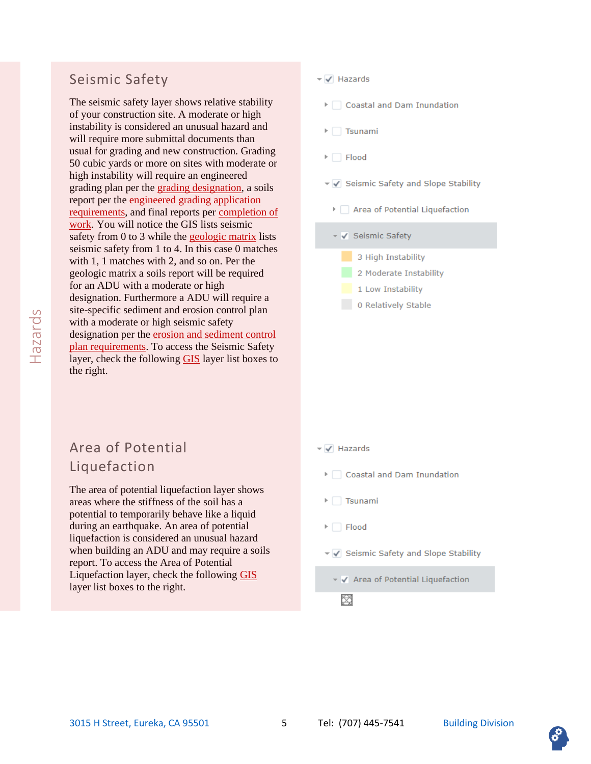### <span id="page-4-0"></span>Seismic Safety

The seismic safety layer shows relative stability of your construction site. A moderate or high instability is considered an unusual hazard and will require more submittal documents than usual for grading and new construction. Grading 50 cubic yards or more on sites with moderate or high instability will require an engineered grading plan per the [grading designation,](https://humboldt.county.codes/Code/331-14(e)(3)) a soils report per the [engineered grading application](https://humboldt.county.codes/Code/331-14(e)(4))  [requirements,](https://humboldt.county.codes/Code/331-14(e)(4)) and final reports per [completion of](https://humboldt.county.codes/Code/331-14(i))  [work.](https://humboldt.county.codes/Code/331-14(i)) You will notice the GIS lists seismic safety from 0 to 3 while the [geologic matrix](https://humboldt.county.codes/Code/336-5(i)) lists seismic safety from 1 to 4. In this case 0 matches with 1, 1 matches with 2, and so on. Per the geologic matrix a soils report will be required for an ADU with a moderate or high designation. Furthermore a ADU will require a site-specific sediment and erosion control plan with a moderate or high seismic safety designation per the [erosion and sediment control](https://humboldt.county.codes/Code/331-14(h)(6)(D))  [plan requirements.](https://humboldt.county.codes/Code/331-14(h)(6)(D)) To access the Seismic Safety layer, check the following [GIS](https://humboldtgov.org/1357/Web-GIS) layer list boxes to the right.

#### ▼ √ Hazards

- ▶ Coastal and Dam Inundation
- $\triangleright$  Tsunami
- $\triangleright$   $\square$  Flood
- ▼ Geismic Safety and Slope Stability
	- Area of Potential Liquefaction
	- v V Seismic Safety
		- 3 High Instability
		- 2 Moderate Instability
		- 1 Low Instability
		- 0 Relatively Stable

# <span id="page-4-1"></span>Area of Potential Liquefaction

The area of potential liquefaction layer shows areas where the stiffness of the soil has a potential to temporarily behave like a liquid during an earthquake. An area of potential liquefaction is considered an unusual hazard when building an ADU and may require a soils report. To access the Area of Potential Liquefaction layer, check the following [GIS](https://humboldtgov.org/1357/Web-GIS) layer list boxes to the right.

#### $\blacktriangledown$  Hazards

- ▶ Coastal and Dam Inundation
- $\triangleright$   $\square$  Tsunami
- $\triangleright$   $\square$  Flood
- ▼ Geismic Safety and Slope Stability
	- ▼ √ Area of Potential Liquefaction

阕

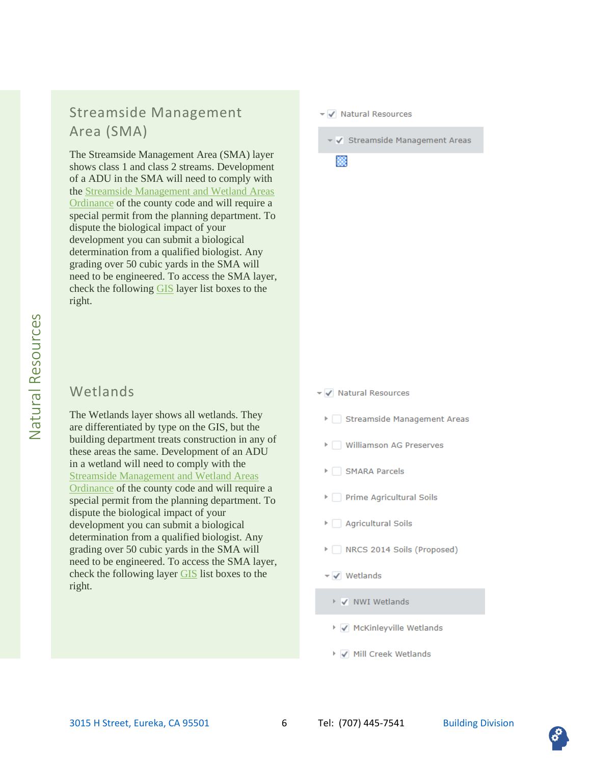# <span id="page-5-0"></span>Streamside Management Area (SMA)

The Streamside Management Area (SMA) layer shows class 1 and class 2 streams. Development of a ADU in the SMA will need to comply with the [Streamside Management and Wetland Areas](https://humboldt.county.codes/Code/314-61)  [Ordinance](https://humboldt.county.codes/Code/314-61) of the county code and will require a special permit from the planning department. To dispute the biological impact of your development you can submit a biological determination from a qualified biologist. Any grading over 50 cubic yards in the SMA will need to be engineered. To access the SMA layer, check the following [GIS](https://humboldtgov.org/1357/Web-GIS) layer list boxes to the right.

### <span id="page-5-1"></span>Wetlands

The Wetlands layer shows all wetlands. They are differentiated by type on the GIS, but the building department treats construction in any of these areas the same. Development of an ADU in a wetland will need to comply with the [Streamside Management and Wetland Areas](https://humboldt.county.codes/Code/314-61)  [Ordinance](https://humboldt.county.codes/Code/314-61) of the county code and will require a special permit from the planning department. To dispute the biological impact of your development you can submit a biological determination from a qualified biologist. Any grading over 50 cubic yards in the SMA will need to be engineered. To access the SMA layer, check the following layer [GIS](https://humboldtgov.org/1357/Web-GIS) list boxes to the right.

#### ▼ V Natural Resources

✔ Streamside Management Areas

殩

- ▼ V Natural Resources
	- > Streamside Management Areas
	- ▶ Williamson AG Preserves
	- > SMARA Parcels
	- Prime Agricultural Soils
	- Agricultural Soils
	- MRCS 2014 Soils (Proposed)
	- $\blacktriangledown$  Wetlands
		- ▶ √ NWI Wetlands
		- ▶ √ McKinleyville Wetlands
		- ▶ √ Mill Creek Wetlands

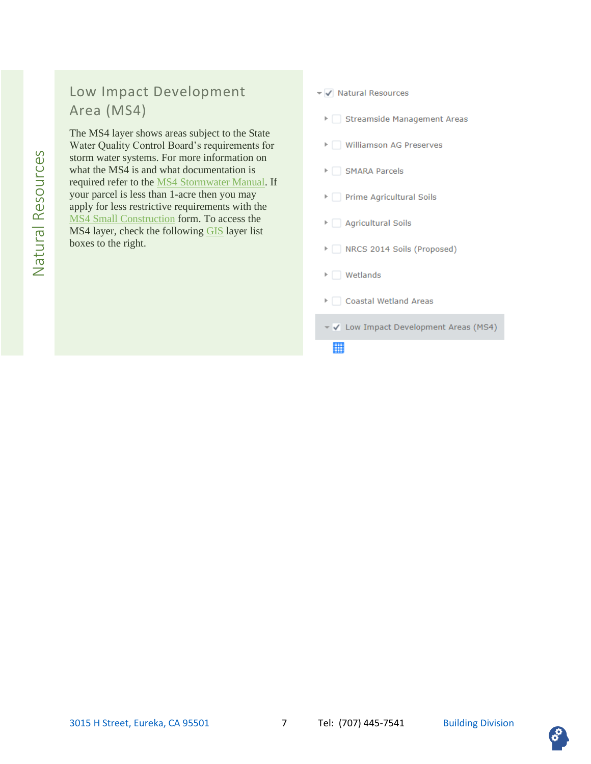# <span id="page-6-0"></span>Low Impact Development Area (MS4)

The MS4 layer shows areas subject to the State Water Quality Control Board's requirements for storm water systems. For more information on what the MS4 is and what documentation is required refer to the [MS4 Stormwater Manual.](http://northcoaststormwatercoalition.org/wp-content/uploads/2016/07/Humboldt-LID-Stormwater-Manual_V2.0.pdf) If your parcel is less than 1-acre then you may apply for less restrictive requirements with the [MS4 Small Construction](https://humboldtgov.org/DocumentCenter/View/70909/MS4-General-Permit_Stormwater-Erosion-And-Sediment-Control-Plan-PDF) form. To access the MS4 layer, check the followin[g GIS](https://humboldtgov.org/1357/Web-GIS) layer list boxes to the right.

#### ▼ V Natural Resources

- > Streamside Management Areas
- ▶ | Williamson AG Preserves
- ▶ SMARA Parcels
- Prime Agricultural Soils
- ▶ △ Agricultural Soils
- In RCS 2014 Soils (Proposed)
- $\triangleright$  Wetlands
- Coastal Wetland Areas
- V < Low Impact Development Areas (MS4)

瞴

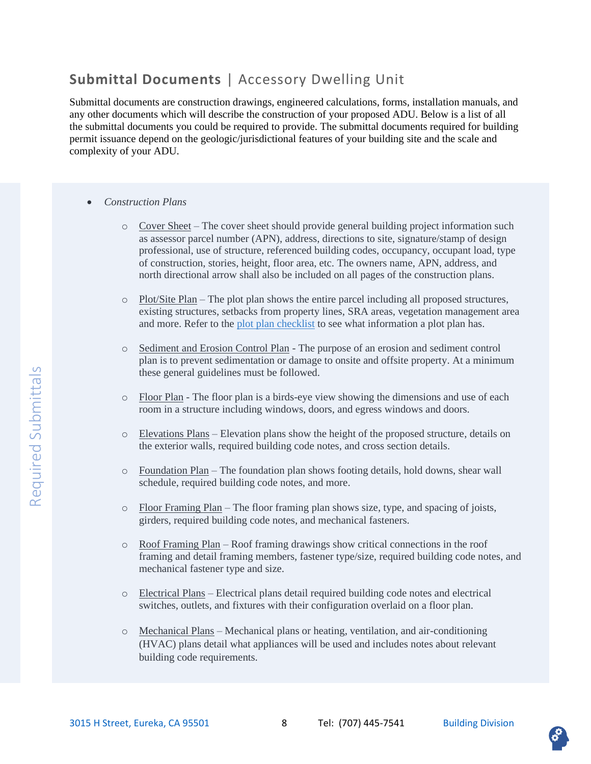### <span id="page-7-0"></span>**Submittal Documents** | Accessory Dwelling Unit

Submittal documents are construction drawings, engineered calculations, forms, installation manuals, and any other documents which will describe the construction of your proposed ADU. Below is a list of all the submittal documents you could be required to provide. The submittal documents required for building permit issuance depend on the geologic/jurisdictional features of your building site and the scale and complexity of your ADU.

- <span id="page-7-1"></span>• *Construction Plans*
	- o Cover Sheet The cover sheet should provide general building project information such as assessor parcel number (APN), address, directions to site, signature/stamp of design professional, use of structure, referenced building codes, occupancy, occupant load, type of construction, stories, height, floor area, etc. The owners name, APN, address, and north directional arrow shall also be included on all pages of the construction plans.
	- o Plot/Site Plan The plot plan shows the entire parcel including all proposed structures, existing structures, setbacks from property lines, SRA areas, vegetation management area and more. Refer to the [plot plan checklist](https://humboldtgov.org/DocumentCenter/View/191/Site-Plan-Checklist-Building-Inspection-Division-PDF) to see what information a plot plan has.
	- o Sediment and Erosion Control Plan The purpose of an erosion and sediment control plan is to prevent sedimentation or damage to onsite and offsite property. At a minimum these general guidelines must be followed.
	- o Floor Plan The floor plan is a birds-eye view showing the dimensions and use of each room in a structure including windows, doors, and egress windows and doors.
	- $\circ$  Elevations Plans Elevation plans show the height of the proposed structure, details on the exterior walls, required building code notes, and cross section details.
	- o Foundation Plan The foundation plan shows footing details, hold downs, shear wall schedule, required building code notes, and more.
	- $\circ$  Floor Framing Plan The floor framing plan shows size, type, and spacing of joists, girders, required building code notes, and mechanical fasteners.
	- o Roof Framing Plan Roof framing drawings show critical connections in the roof framing and detail framing members, fastener type/size, required building code notes, and mechanical fastener type and size.
	- o Electrical Plans Electrical plans detail required building code notes and electrical switches, outlets, and fixtures with their configuration overlaid on a floor plan.
	- o Mechanical Plans Mechanical plans or heating, ventilation, and air-conditioning (HVAC) plans detail what appliances will be used and includes notes about relevant building code requirements.

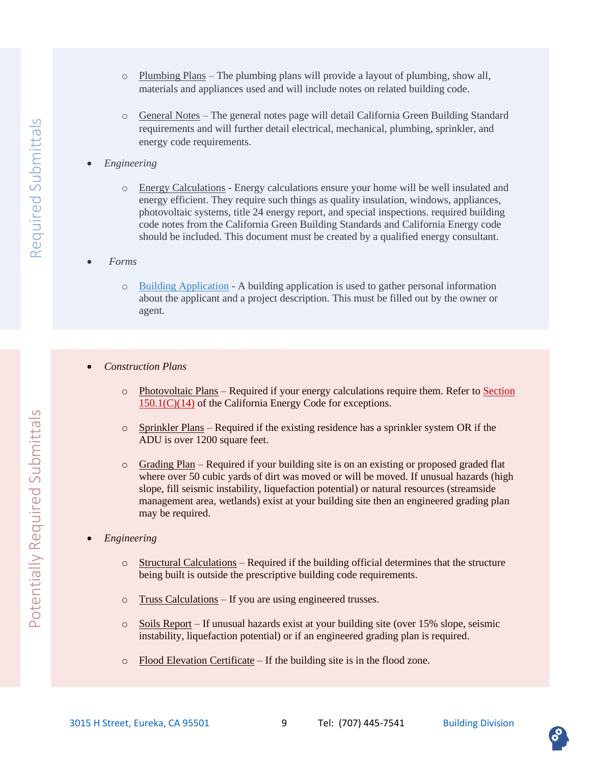- o Plumbing Plans The plumbing plans will provide a layout of plumbing, show all, materials and appliances used and will include notes on related building code.
- o General Notes The general notes page will detail California Green Building Standard requirements and will further detail electrical, mechanical, plumbing, sprinkler, and energy code requirements.
- *Engineering*
	- o Energy Calculations Energy calculations ensure your home will be well insulated and energy efficient. They require such things as quality insulation, windows, appliances, photovoltaic systems, title 24 energy report, and special inspections. required building code notes from the California Green Building Standards and California Energy code should be included. This document must be created by a qualified energy consultant.
- *Forms*
	- o [Building Application](https://humboldtgov.org/DocumentCenter/View/78794/Building-Application-Form-PDF) A building application is used to gather personal information about the applicant and a project description. This must be filled out by the owner or agent.
- <span id="page-8-0"></span>• *Construction Plans*
	- o Photovoltaic Plans Required if your energy calculations require them. Refer to [Section](https://up.codes/viewer/california/ca-energy-code-2019/chapter/8/low-rise-residential-buildings-performance-and-prescriptive-compliance-approache#150.1)  [150.1\(C\)\(14\)](https://up.codes/viewer/california/ca-energy-code-2019/chapter/8/low-rise-residential-buildings-performance-and-prescriptive-compliance-approache#150.1) of the California Energy Code for exceptions.
	- $\circ$  Sprinkler Plans Required if the existing residence has a sprinkler system OR if the ADU is over 1200 square feet.
	- $\circ$  Grading Plan Required if your building site is on an existing or proposed graded flat where over 50 cubic yards of dirt was moved or will be moved. If unusual hazards (high slope, fill seismic instability, liquefaction potential) or natural resources (streamside management area, wetlands) exist at your building site then an engineered grading plan may be required.
- *Engineering*
	- $\circ$  Structural Calculations Required if the building official determines that the structure being built is outside the prescriptive building code requirements.
	- o Truss Calculations If you are using engineered trusses.
	- o Soils Report If unusual hazards exist at your building site (over 15% slope, seismic instability, liquefaction potential) or if an engineered grading plan is required.
	- o Flood Elevation Certificate If the building site is in the flood zone.

Potentially Required Submittals

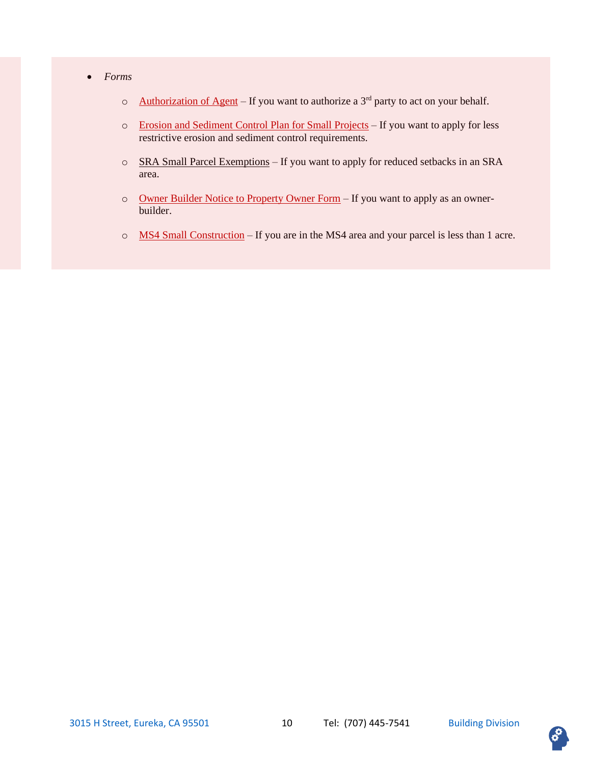- *Forms*
	- o [Authorization of Agent](https://humboldtgov.org/DocumentCenter/View/184/Authorization-of-Agent-to-Act-on-Property-Owners-Behalf-Form-PDF) If you want to authorize a  $3<sup>rd</sup>$  party to act on your behalf.
	- o [Erosion and Sediment Control Plan for Small Projects](https://humboldtgov.org/DocumentCenter/View/208/Erosion-and-Sediment-Control-Plan-for-Small-Projects-Form-PDF) If you want to apply for less restrictive erosion and sediment control requirements.
	- o SRA Small Parcel Exemptions If you want to apply for reduced setbacks in an SRA area.
	- o [Owner Builder Notice to Property Owner Form](https://humboldtgov.org/DocumentCenter/View/190/Owner-Builder-Notice-to-Property-Owner-Form-PDF) If you want to apply as an ownerbuilder.
	- o MS4 [Small Construction](https://humboldtgov.org/DocumentCenter/View/70909/MS4-General-Permit_Stormwater-Erosion-And-Sediment-Control-Plan-PDF) If you are in the MS4 area and your parcel is less than 1 acre.

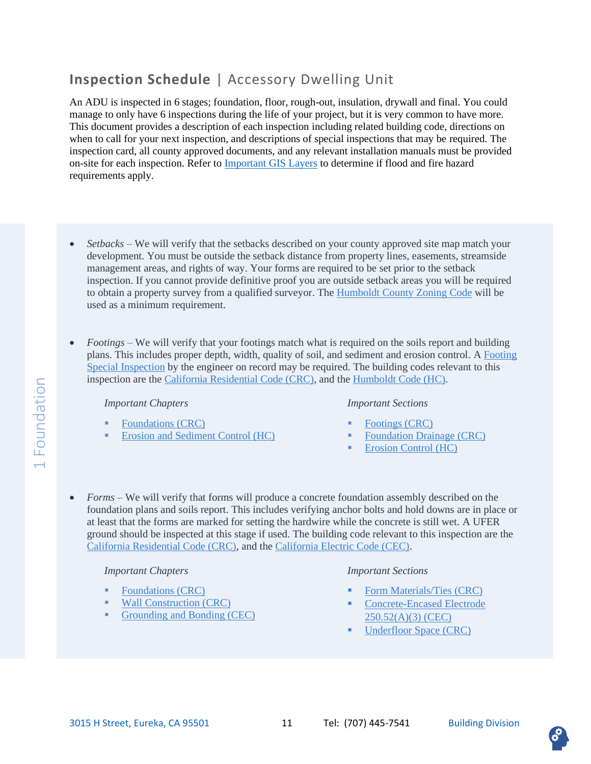# <span id="page-10-0"></span>**Inspection Schedule** | Accessory Dwelling Unit

An ADU is inspected in 6 stages; foundation, floor, rough-out, insulation, drywall and final. You could manage to only have 6 inspections during the life of your project, but it is very common to have more. This document provides a description of each inspection including related building code, directions on when to call for your next inspection, and descriptions of special inspections that may be required. The inspection card, all county approved documents, and any relevant installation manuals must be provided on-site for each inspection. Refer to *Important GIS Layers* to determine if flood and fire hazard requirements apply.

- <span id="page-10-1"></span>• *Setbacks –* We will verify that the setbacks described on your county approved site map match your development. You must be outside the setback distance from property lines, easements, streamside management areas, and rights of way. Your forms are required to be set prior to the setback inspection. If you cannot provide definitive proof you are outside setback areas you will be required to obtain a property survey from a qualified surveyor. Th[e Humboldt County Zoning Code](https://humboldt.county.codes/Code/311-1) will be used as a minimum requirement.
- *Footings –* We will verify that your footings match what is required on the soils report and building plans. This includes proper depth, width, quality of soil, and sediment and erosion control. A [Footing](#page-18-0)  [Special Inspection](#page-18-0) by the engineer on record may be required. The building codes relevant to this inspection are the [California Residential Code \(CRC\),](https://up.codes/viewer/california/irc-2018) and the [Humboldt Code \(HC\).](https://humboldt.county.codes/Code)

#### *Important Chapters*

- [Foundations \(CRC\)](https://up.codes/viewer/california/irc-2018/chapter/4/foundations#4)
- [Erosion and Sediment Control \(HC\)](https://humboldt.county.codes/Code/331-14(h)(6)(C))

#### *Important Sections*

- [Footings \(CRC\)](https://up.codes/viewer/california/irc-2018/chapter/4/foundations#R403)
- **[Foundation Drainage \(CRC\)](https://up.codes/viewer/california/irc-2018/chapter/4/foundations#R405)**
- [Erosion Control \(HC\)](https://humboldt.county.codes/Code/331-14(h)(6)(C))
- *Forms –* We will verify that forms will produce a concrete foundation assembly described on the foundation plans and soils report. This includes verifying anchor bolts and hold downs are in place or at least that the forms are marked for setting the hardwire while the concrete is still wet. A UFER ground should be inspected at this stage if used. The building code relevant to this inspection are the [California Residential Code \(CRC\),](https://up.codes/viewer/california/irc-2018) and the [California Electric Code](https://catalog.nfpa.org/NFPA-70-National-Electrical-Code-with-California-Amendments-P17223.aspx#:~:text=The%202019%20California%20Electrical%20Code%2C%20California%20Code%20of%20Regulations%20Title,protection%2C%20grounding%2C%20and%20installation.) (CEC).

#### *Important Chapters*

- [Foundations \(CRC\)](https://up.codes/viewer/california/irc-2018/chapter/4/foundations#4)
- [Wall Construction \(CRC\)](https://up.codes/viewer/california/irc-2018/chapter/6/wall-construction#6)
- [Grounding and Bonding \(CEC\)](https://catalog.nfpa.org/NFPA-70-National-Electrical-Code-with-California-Amendments-P17223.aspx#:~:text=The%202019%20California%20Electrical%20Code%2C%20California%20Code%20of%20Regulations%20Title,protection%2C%20grounding%2C%20and%20installation.)

- [Form Materials/Ties \(CRC\)](https://up.codes/viewer/california/irc-2018/chapter/4/foundations#R404.1.3.3.6)
- Concrete-Encased Electrode [250.52\(A\)\(3\) \(CEC\)](https://catalog.nfpa.org/NFPA-70-National-Electrical-Code-with-California-Amendments-P17223.aspx#:~:text=The%202019%20California%20Electrical%20Code%2C%20California%20Code%20of%20Regulations%20Title,protection%2C%20grounding%2C%20and%20installation.)
- **•** [Underfloor Space \(CRC\)](https://up.codes/viewer/california/irc-2018/chapter/4/foundations#R408)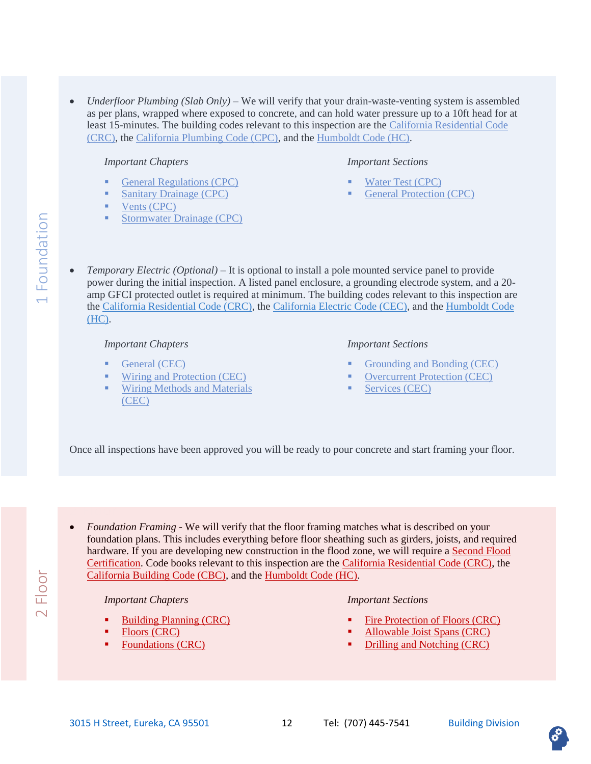• *Underfloor Plumbing (Slab Only) –* We will verify that your drain-waste-venting system is assembled as per plans, wrapped where exposed to concrete, and can hold water pressure up to a 10ft head for at least 15-minutes. The building codes relevant to this inspection are the [California Residential Code](https://up.codes/viewer/california/irc-2018)  [\(CRC\),](https://up.codes/viewer/california/irc-2018) the [California Plumbing Code \(CPC\),](https://up.codes/viewer/california/ca-plumbing-code-2019) and the [Humboldt Code \(HC\).](https://humboldt.county.codes/Code)

#### *Important Chapters*

- [General Regulations \(CPC\)](https://up.codes/viewer/california/ca-plumbing-code-2019/chapter/3/general-regulations#3)
- **[Sanitary Drainage \(CPC\)](https://up.codes/viewer/california/ca-plumbing-code-2019/chapter/7/sanitary-drainage#7)**
- [Vents \(CPC\)](https://up.codes/viewer/california/ibc-2018/chapter/7/fire-and-smoke-protection-features#701.1)
- [Stormwater Drainage \(CPC\)](https://up.codes/viewer/california/ca-plumbing-code-2019/chapter/11/storm-drainage#11)

#### *Important Sections*

- [Water Test \(CPC\)](https://up.codes/viewer/california/ca-plumbing-code-2019/chapter/7/sanitary-drainage#712.2)
- [General Protection \(CPC\)](https://up.codes/viewer/california/ca-plumbing-code-2019/chapter/3/general-regulations#312.1)
- *Temporary Electric (Optional) –* It is optional to install a pole mounted service panel to provide power during the initial inspection. A listed panel enclosure, a grounding electrode system, and a 20 amp GFCI protected outlet is required at minimum. The building codes relevant to this inspection are the [California Residential Code \(CRC\),](https://up.codes/viewer/california/irc-2018) the [California Electric Code \(CEC\),](https://catalog.nfpa.org/NFPA-70-National-Electrical-Code-with-California-Amendments-P17223.aspx#:~:text=The%202019%20California%20Electrical%20Code%2C%20California%20Code%20of%20Regulations%20Title,protection%2C%20grounding%2C%20and%20installation.) and the [Humboldt Code](https://humboldt.county.codes/Code)  [\(HC\).](https://humboldt.county.codes/Code)

#### *Important Chapters*

- [General \(CEC\)](https://catalog.nfpa.org/NFPA-70-National-Electrical-Code-with-California-Amendments-P17223.aspx#:~:text=The%202019%20California%20Electrical%20Code%2C%20California%20Code%20of%20Regulations%20Title,protection%2C%20grounding%2C%20and%20installation.)
- [Wiring and Protection \(CEC\)](https://catalog.nfpa.org/NFPA-70-National-Electrical-Code-with-California-Amendments-P17223.aspx#:~:text=The%202019%20California%20Electrical%20Code%2C%20California%20Code%20of%20Regulations%20Title,protection%2C%20grounding%2C%20and%20installation.)
- **E** Wiring Methods and Materials [\(CEC\)](https://catalog.nfpa.org/NFPA-70-National-Electrical-Code-with-California-Amendments-P17223.aspx#:~:text=The%202019%20California%20Electrical%20Code%2C%20California%20Code%20of%20Regulations%20Title,protection%2C%20grounding%2C%20and%20installation.)

#### *Important Sections*

- [Grounding and Bonding \(CEC\)](https://catalog.nfpa.org/NFPA-70-National-Electrical-Code-with-California-Amendments-P17223.aspx#:~:text=The%202019%20California%20Electrical%20Code%2C%20California%20Code%20of%20Regulations%20Title,protection%2C%20grounding%2C%20and%20installation.)
- **[Overcurrent Protection \(CEC\)](https://catalog.nfpa.org/NFPA-70-National-Electrical-Code-with-California-Amendments-P17223.aspx#:~:text=The%202019%20California%20Electrical%20Code%2C%20California%20Code%20of%20Regulations%20Title,protection%2C%20grounding%2C%20and%20installation.)**
- [Services \(CEC\)](https://catalog.nfpa.org/NFPA-70-National-Electrical-Code-with-California-Amendments-P17223.aspx#:~:text=The%202019%20California%20Electrical%20Code%2C%20California%20Code%20of%20Regulations%20Title,protection%2C%20grounding%2C%20and%20installation.)

Once all inspections have been approved you will be ready to pour concrete and start framing your floor.

<span id="page-11-0"></span>• *Foundation Framing -* We will verify that the floor framing matches what is described on your foundation plans. This includes everything before floor sheathing such as girders, joists, and required hardware. If you are developing new construction in the flood zone, we will require a Second Flood Certification. Code books relevant to this inspection are the [California Residential Code \(CRC\),](https://up.codes/viewer/california/irc-2018) the [California Building Code \(CBC\),](https://up.codes/viewer/california/ibc-2018) and the [Humboldt Code \(HC\).](https://humboldt.county.codes/Code)

#### *Important Chapters*

- **[Building Planning \(CRC\)](https://up.codes/viewer/california/irc-2018/chapter/3/building-planning#3)**
- [Floors \(CRC\)](https://up.codes/viewer/california/irc-2018/chapter/5/floors#5)
- **Exercise [Foundations \(CRC\)](https://up.codes/viewer/california/irc-2018/chapter/4/foundations#4)**

#### *Important Sections*

- [Fire Protection of Floors \(CRC\)](https://up.codes/viewer/california/irc-2018/chapter/3/building-planning#R302.13)
- [Allowable Joist Spans \(CRC\)](https://up.codes/viewer/california/irc-2018/chapter/5/floors#R502.3)
- [Drilling and Notching \(CRC\)](https://up.codes/viewer/california/irc-2018/chapter/5/floors#R502.8)



Floor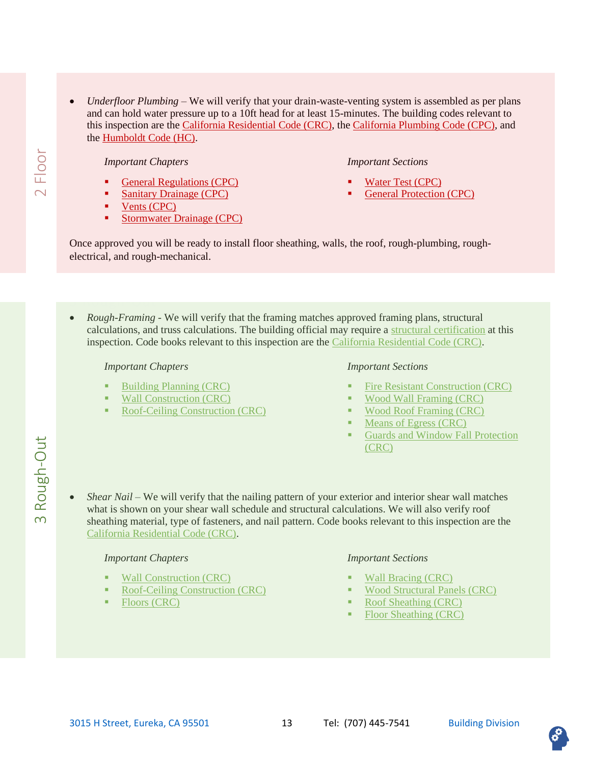• *Underfloor Plumbing –* We will verify that your drain-waste-venting system is assembled as per plans and can hold water pressure up to a 10ft head for at least 15-minutes. The building codes relevant to this inspection are the [California Residential Code \(CRC\),](https://up.codes/viewer/california/irc-2018) th[e California Plumbing Code \(CPC\),](https://up.codes/viewer/california/ca-plumbing-code-2019) and the [Humboldt Code \(HC\).](https://humboldt.county.codes/Code)

#### *Important Chapters*

- [General Regulations \(CPC\)](https://up.codes/viewer/california/ca-plumbing-code-2019/chapter/3/general-regulations#3)
- **[Sanitary Drainage \(CPC\)](https://up.codes/viewer/california/ca-plumbing-code-2019/chapter/7/sanitary-drainage#7)**
- [Vents \(CPC\)](https://up.codes/viewer/california/ibc-2018/chapter/7/fire-and-smoke-protection-features#701.1)
- **•** [Stormwater Drainage \(CPC\)](https://up.codes/viewer/california/ca-plumbing-code-2019/chapter/11/storm-drainage#11)

#### *Important Sections*

- [Water Test \(CPC\)](https://up.codes/viewer/california/ca-plumbing-code-2019/chapter/7/sanitary-drainage#712.2)
- [General Protection \(CPC\)](https://up.codes/viewer/california/ca-plumbing-code-2019/chapter/3/general-regulations#312.1)

Once approved you will be ready to install floor sheathing, walls, the roof, rough-plumbing, roughelectrical, and rough-mechanical.

<span id="page-12-0"></span>• *Rough-Framing -* We will verify that the framing matches approved framing plans, structural calculations, and truss calculations. The building official may require a structural certification at this inspection. Code books relevant to this inspection are the [California Residential Code \(CRC\).](https://up.codes/viewer/california/irc-2018)

#### *Important Chapters*

- **[Building Planning \(CRC\)](https://up.codes/viewer/california/irc-2018/chapter/3/building-planning#3)**
- [Wall Construction \(CRC\)](https://up.codes/viewer/california/irc-2018/chapter/6/wall-construction#6)
- [Roof-Ceiling Construction \(CRC\)](https://up.codes/viewer/california/irc-2018/chapter/8/roof-ceiling-construction#8)

#### *Important Sections*

- **[Fire Resistant Construction \(CRC\)](https://up.codes/viewer/california/irc-2018/chapter/3/building-planning#R302)**
- Wood [Wall Framing \(CRC\)](https://up.codes/viewer/california/irc-2018/chapter/6/wall-construction#R602)
- [Wood Roof Framing \(CRC\)](https://up.codes/viewer/california/irc-2018/chapter/8/roof-ceiling-construction#R802)
- [Means of Egress \(CRC\)](https://up.codes/viewer/california/irc-2018/chapter/3/building-planning#R311)
- Guards and Window Fall Protection [\(CRC\)](https://up.codes/viewer/california/irc-2018/chapter/3/building-planning#R312)
- *Shear Nail –* We will verify that the nailing pattern of your exterior and interior shear wall matches what is shown on your shear wall schedule and structural calculations. We will also verify roof sheathing material, type of fasteners, and nail pattern. Code books relevant to this inspection are the [California Residential Code \(CRC\).](https://up.codes/viewer/california/irc-2018)

#### *Important Chapters*

- [Wall Construction \(CRC\)](https://up.codes/viewer/california/irc-2018/chapter/6/wall-construction#6)
- [Roof-Ceiling Construction \(CRC\)](https://up.codes/viewer/california/irc-2018/chapter/8/roof-ceiling-construction#8)
- [Floors \(CRC\)](https://up.codes/viewer/california/irc-2018/chapter/5/floors#5)

#### *Important Sections*

- [Wall Bracing \(CRC\)](https://up.codes/viewer/california/irc-2018/chapter/6/wall-construction#R602.10)
- [Wood Structural Panels \(CRC\)](https://up.codes/viewer/california/irc-2018/chapter/6/wall-construction#R604)
- [Roof Sheathing \(CRC\)](https://up.codes/viewer/california/irc-2018/chapter/8/roof-ceiling-construction#R803)
- [Floor Sheathing \(CRC\)](https://up.codes/viewer/california/irc-2018/chapter/5/floors#R503)

Floor

 $\overline{\mathsf{C}}$ 

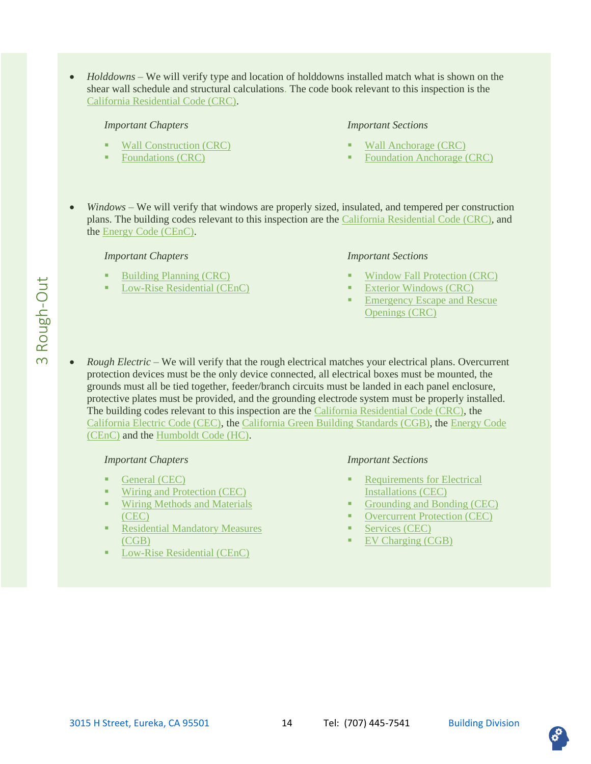• *Holddowns* – We will verify type and location of holddowns installed match what is shown on the shear wall schedule and structural calculations. The code book relevant to this inspection is the [California Residential Code \(CRC\).](https://up.codes/viewer/california/irc-2018)

#### *Important Chapters*

- [Wall Construction \(CRC\)](https://up.codes/viewer/california/irc-2018/chapter/6/wall-construction#6)
- [Foundations \(CRC\)](https://up.codes/viewer/california/irc-2018/chapter/4/foundations#4)

#### *Important Sections*

- [Wall Anchorage \(CRC\)](https://up.codes/viewer/california/irc-2018/chapter/6/wall-construction#R602.11.1)
- **[Foundation Anchorage \(CRC\)](https://up.codes/viewer/california/irc-2018/chapter/4/foundations#R403.1.6)**
- *Windows –* We will verify that windows are properly sized, insulated, and tempered per construction plans. The building codes relevant to this inspection are the [California Residential Code \(CRC\),](https://up.codes/viewer/california/irc-2018) and the [Energy Code \(CEnC\).](https://up.codes/viewer/california/ca-energy-code-2019)

#### *Important Chapters*

- **[Building Planning \(CRC\)](https://up.codes/viewer/california/irc-2018/chapter/3/building-planning#3)**
- [Low-Rise Residential \(CEnC\)](https://up.codes/viewer/california/ca-energy-code-2019/chapter/8/low-rise-residential-buildings-performance-and-prescriptive-compliance-approache#150.1)

#### *Important Sections*

- **[Window Fall Protection \(CRC\)](https://up.codes/viewer/california/irc-2018/chapter/3/building-planning#R312)**
- **[Exterior Windows \(CRC\)](https://up.codes/viewer/california/irc-2018/chapter/3/building-planning#new_R337.8)**
- **Emergency Escape and Rescue** [Openings \(CRC\)](https://up.codes/viewer/california/irc-2018/chapter/3/building-planning#R310)
- *Rough Electric –* We will verify that the rough electrical matches your electrical plans. Overcurrent protection devices must be the only device connected, all electrical boxes must be mounted, the grounds must all be tied together, feeder/branch circuits must be landed in each panel enclosure, protective plates must be provided, and the grounding electrode system must be properly installed. The building codes relevant to this inspection are the [California Residential Code \(CRC\),](https://up.codes/viewer/california/irc-2018) the [California Electric Code \(CEC\),](https://catalog.nfpa.org/NFPA-70-National-Electrical-Code-with-California-Amendments-P17223.aspx#:~:text=The%202019%20California%20Electrical%20Code%2C%20California%20Code%20of%20Regulations%20Title,protection%2C%20grounding%2C%20and%20installation.) th[e California Green Building Standards \(CGB\),](https://up.codes/viewer/california/ca-green-code-2019) th[e Energy Code](https://up.codes/viewer/california/ca-energy-code-2019)  [\(CEnC\)](https://up.codes/viewer/california/ca-energy-code-2019) and the [Humboldt Code \(HC\).](https://humboldt.county.codes/Code)

#### *Important Chapters*

- [General \(CEC\)](https://catalog.nfpa.org/NFPA-70-National-Electrical-Code-with-California-Amendments-P17223.aspx#:~:text=The%202019%20California%20Electrical%20Code%2C%20California%20Code%20of%20Regulations%20Title,protection%2C%20grounding%2C%20and%20installation.)
- **EXECUTE:** [Wiring and Protection \(CEC\)](https://catalog.nfpa.org/NFPA-70-National-Electrical-Code-with-California-Amendments-P17223.aspx#:~:text=The%202019%20California%20Electrical%20Code%2C%20California%20Code%20of%20Regulations%20Title,protection%2C%20grounding%2C%20and%20installation.)
- **Wiring Methods and Materials** [\(CEC\)](https://catalog.nfpa.org/NFPA-70-National-Electrical-Code-with-California-Amendments-P17223.aspx#:~:text=The%202019%20California%20Electrical%20Code%2C%20California%20Code%20of%20Regulations%20Title,protection%2C%20grounding%2C%20and%20installation.)
- **Residential Mandatory Measures** [\(CGB\)](https://up.codes/viewer/california/ca-green-code-2019/chapter/4/residential-mandatory-measures#4)
- [Low-Rise Residential \(CEnC\)](https://up.codes/viewer/california/ca-energy-code-2019/chapter/8/low-rise-residential-buildings-performance-and-prescriptive-compliance-approache#8)

- **Requirements for Electrical** [Installations \(CEC\)](https://catalog.nfpa.org/NFPA-70-National-Electrical-Code-with-California-Amendments-P17223.aspx#:~:text=The%202019%20California%20Electrical%20Code%2C%20California%20Code%20of%20Regulations%20Title,protection%2C%20grounding%2C%20and%20installation.)
- [Grounding and Bonding \(CEC\)](https://catalog.nfpa.org/NFPA-70-National-Electrical-Code-with-California-Amendments-P17223.aspx#:~:text=The%202019%20California%20Electrical%20Code%2C%20California%20Code%20of%20Regulations%20Title,protection%2C%20grounding%2C%20and%20installation.)
- **[Overcurrent Protection \(CEC\)](https://catalog.nfpa.org/NFPA-70-National-Electrical-Code-with-California-Amendments-P17223.aspx#:~:text=The%202019%20California%20Electrical%20Code%2C%20California%20Code%20of%20Regulations%20Title,protection%2C%20grounding%2C%20and%20installation.)**
- [Services \(CEC\)](https://catalog.nfpa.org/NFPA-70-National-Electrical-Code-with-California-Amendments-P17223.aspx#:~:text=The%202019%20California%20Electrical%20Code%2C%20California%20Code%20of%20Regulations%20Title,protection%2C%20grounding%2C%20and%20installation.)
- [EV Charging \(CGB\)](https://up.codes/viewer/california/ca-green-code-2019/chapter/4/residential-mandatory-measures#4.106.4.1)

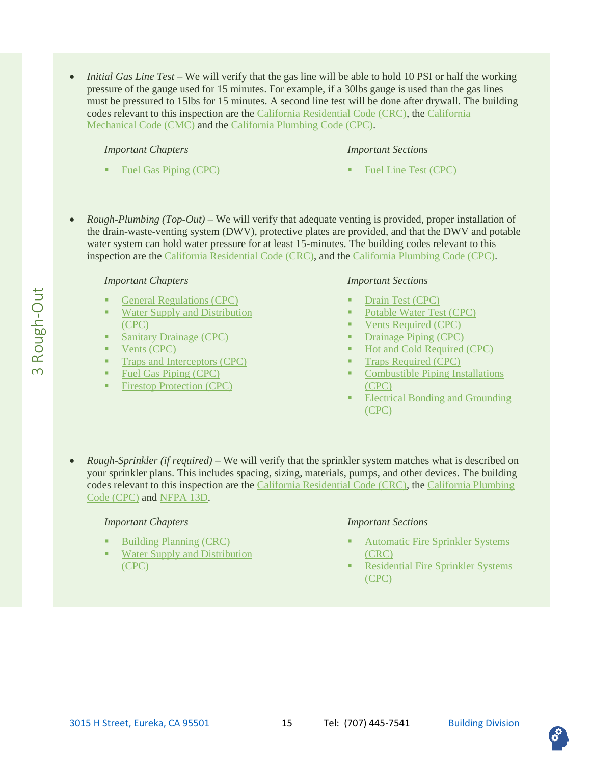• *Initial Gas Line Test* – We will verify that the gas line will be able to hold 10 PSI or half the working pressure of the gauge used for 15 minutes. For example, if a 30lbs gauge is used than the gas lines must be pressured to 15lbs for 15 minutes. A second line test will be done after drywall. The building codes relevant to this inspection are the [California Residential Code \(CRC\),](https://up.codes/viewer/california/irc-2018) the [California](https://up.codes/viewer/california/ca-mechanical-code-2019)  [Mechanical Code \(CMC\)](https://up.codes/viewer/california/ca-mechanical-code-2019) and the [California Plumbing Code \(CPC\).](https://up.codes/viewer/california/ca-plumbing-code-2019)

#### *Important Chapters*

[Fuel Gas Piping \(CPC\)](https://up.codes/viewer/california/ca-plumbing-code-2019/chapter/12/fuel-gas-piping#12)

#### *Important Sections*

- [Fuel Line Test \(CPC\)](https://up.codes/viewer/california/ca-plumbing-code-2019/chapter/12/fuel-gas-piping#1213.3)
- *Rough-Plumbing (Top-Out)* We will verify that adequate venting is provided, proper installation of the drain-waste-venting system (DWV), protective plates are provided, and that the DWV and potable water system can hold water pressure for at least 15-minutes. The building codes relevant to this inspection are the [California Residential Code \(CRC\),](https://up.codes/viewer/california/irc-2018) and the [California Plumbing Code \(CPC\).](https://up.codes/viewer/california/ca-plumbing-code-2019)

#### *Important Chapters*

- [General Regulations \(CPC\)](https://up.codes/viewer/california/ca-plumbing-code-2019/chapter/3/general-regulations#3)
- Water Supply and Distribution [\(CPC\)](https://up.codes/viewer/california/ca-plumbing-code-2019/chapter/6/water-supply-and-distribution#6)
- **[Sanitary Drainage \(CPC\)](https://up.codes/viewer/california/ca-plumbing-code-2019/chapter/7/sanitary-drainage#7)**
- [Vents \(CPC\)](https://up.codes/viewer/california/ca-plumbing-code-2019/chapter/9/vents#9)
- **•** [Traps and Interceptors \(CPC\)](https://up.codes/viewer/california/ca-plumbing-code-2019/chapter/10/traps-and-interceptors#10)
- [Fuel Gas Piping \(CPC\)](https://up.codes/viewer/california/ca-plumbing-code-2019/chapter/12/fuel-gas-piping#12)
- [Firestop Protection \(CPC\)](https://up.codes/viewer/california/ca-plumbing-code-2019/chapter/14/firestop-protection#14)

#### *Important Sections*

- [Drain Test \(CPC\)](https://up.codes/viewer/california/ca-plumbing-code-2019/chapter/7/sanitary-drainage#712.2)
- [Potable Water Test \(CPC\)](https://up.codes/viewer/california/ca-plumbing-code-2019/chapter/6/water-supply-and-distribution#609.4)
- [Vents Required \(CPC\)](https://up.codes/viewer/california/ca-plumbing-code-2019/chapter/9/vents#901.2)
- [Drainage Piping \(CPC\)](https://up.codes/viewer/california/ca-plumbing-code-2019/chapter/7/sanitary-drainage#701.2)
- [Hot and Cold Required \(CPC\)](https://up.codes/viewer/california/ca-plumbing-code-2019/chapter/6/water-supply-and-distribution#601.2)
- [Traps Required \(CPC\)](https://up.codes/viewer/california/ca-plumbing-code-2019/chapter/10/traps-and-interceptors#1001.2)
- **Combustible Piping Installations** [\(CPC\)](https://up.codes/viewer/california/ca-plumbing-code-2019/chapter/14/firestop-protection#1404.0)
- **Electrical Bonding and Grounding** [\(CPC\)](https://up.codes/viewer/california/ca-plumbing-code-2019/chapter/12/fuel-gas-piping#1211.0)
- *Rough-Sprinkler (if required) –* We will verify that the sprinkler system matches what is described on your sprinkler plans. This includes spacing, sizing, materials, pumps, and other devices. The building codes relevant to this inspection are the [California Residential Code \(CRC\),](https://up.codes/viewer/california/irc-2018) the [California Plumbing](https://up.codes/viewer/california/ca-plumbing-code-2019)  [Code \(CPC\)](https://up.codes/viewer/california/ca-plumbing-code-2019) and [NFPA 13D.](https://www.nfpa.org/codes-and-standards/all-codes-and-standards/list-of-codes-and-standards/detail?code=13D)

#### *Important Chapters*

- [Building Planning \(CRC\)](https://up.codes/viewer/california/irc-2018/chapter/3/building-planning#3)
- **Water Supply and Distribution** [\(CPC\)](https://up.codes/viewer/california/ca-plumbing-code-2019/chapter/6/water-supply-and-distribution#6)

- **Automatic Fire Sprinkler Systems** [\(CRC\)](https://up.codes/viewer/california/irc-2018/chapter/3/building-planning#R313)
- **Residential Fire Sprinkler Systems** [\(CPC\)](https://up.codes/viewer/california/ca-plumbing-code-2019/chapter/6/water-supply-and-distribution#612.0)

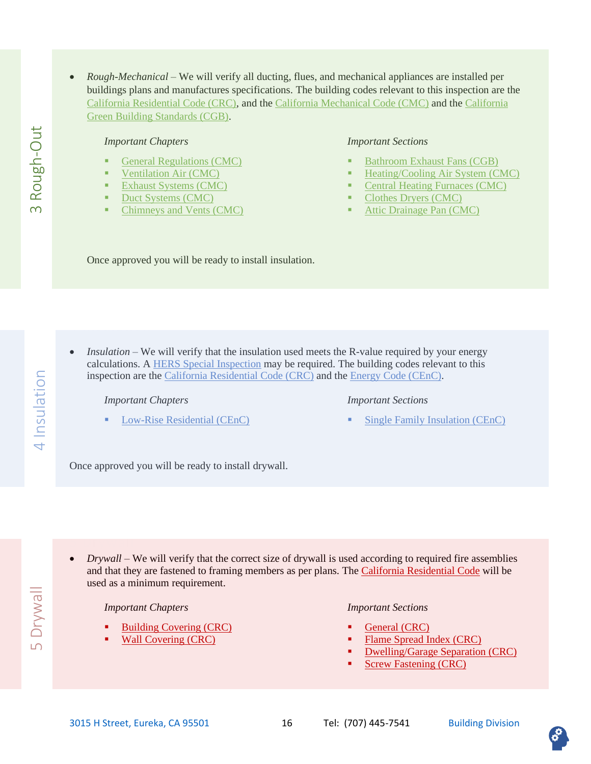• *Rough-Mechanical* – We will verify all ducting, flues, and mechanical appliances are installed per buildings plans and manufactures specifications. The building codes relevant to this inspection are the [California Residential Code \(CRC\),](https://up.codes/viewer/california/irc-2018) and the [California Mechanical Code \(CMC\)](https://up.codes/viewer/california/ca-mechanical-code-2019) and the [California](https://up.codes/viewer/california/ca-green-code-2019)  [Green Building Standards \(CGB\).](https://up.codes/viewer/california/ca-green-code-2019)

#### *Important Chapters*

- **[General Regulations \(CMC\)](https://up.codes/viewer/california/ca-mechanical-code-2019/chapter/3/general-regulations#3)**
- [Ventilation Air](https://up.codes/viewer/california/ca-mechanical-code-2019/chapter/4/ventilation-air#4) (CMC)
- **[Exhaust Systems \(CMC\)](https://up.codes/viewer/california/ca-mechanical-code-2019/chapter/5/exhaust-systems#5)**
- [Duct Systems \(CMC\)](https://up.codes/viewer/california/ca-mechanical-code-2019/chapter/6/duct-systems#6)
- [Chimneys and Vents \(CMC\)](https://up.codes/viewer/california/ca-mechanical-code-2019/chapter/8/chimneys-and-vents#8)

#### *Important Sections*

- **[Bathroom Exhaust Fans \(CGB\)](https://up.codes/viewer/california/ca-green-code-2019/chapter/4/residential-mandatory-measures#4.506.1)**
- [Heating/Cooling Air System \(CMC\)](https://up.codes/viewer/california/ca-mechanical-code-2019/chapter/3/general-regulations#311.0)
- **[Central Heating Furnaces \(CMC\)](https://up.codes/viewer/california/ca-mechanical-code-2019/chapter/9/installation-of-specific-appliances#904.0)**
- [Clothes Dryers \(CMC\)](https://up.codes/viewer/california/ca-mechanical-code-2019/chapter/5/exhaust-systems#504.4)
- [Attic Drainage Pan \(CMC\)](https://up.codes/viewer/california/ca-mechanical-code-2019/chapter/3/general-regulations#305.4)

Once approved you will be ready to install insulation.

<span id="page-15-0"></span>• *Insulation* – We will verify that the insulation used meets the R-value required by your energy calculations. [A HERS Special Inspection](#page-18-1) may be required. The building codes relevant to this inspection are the [California Residential Code \(CRC\)](https://up.codes/viewer/california/irc-2018) and the [Energy Code \(CEnC\).](https://up.codes/viewer/california/ca-energy-code-2019)

*Important Chapters*

[Low-Rise Residential \(CEnC\)](https://up.codes/viewer/california/ca-energy-code-2019/chapter/8/low-rise-residential-buildings-performance-and-prescriptive-compliance-approache#150.1)

#### *Important Sections*

[Single Family Insulation \(CEnC\)](https://up.codes/viewer/california/ca-energy-code-2019/chapter/8/low-rise-residential-buildings-performance-and-prescriptive-compliance-approache#table_150.1-A)

Once approved you will be ready to install drywall.

**S** Drywall

<span id="page-15-1"></span>• *Drywall* – We will verify that the correct size of drywall is used according to required fire assemblies and that they are fastened to framing members as per plans. The [California Residential Code](https://up.codes/viewer/california/irc-2018) will be used as a minimum requirement.

#### *Important Chapters*

- **[Building Covering \(CRC\)](https://up.codes/viewer/california/irc-2018/chapter/3/building-planning#3)**
- [Wall Covering \(CRC\)](https://up.codes/viewer/california/irc-2018/chapter/7/wall-covering#R702.1)

*Important Sections*

- [General \(CRC\)](https://up.codes/viewer/california/irc-2018/chapter/7/wall-covering#R702.1)
- **[Flame Spread Index \(CRC\)](https://up.codes/viewer/california/irc-2018/chapter/3/building-planning#R302.9.1)**
- **[Dwelling/Garage Separation \(CRC\)](https://up.codes/viewer/california/irc-2018/chapter/3/building-planning#R302.6)**
- **[Screw Fastening \(CRC\)](https://up.codes/viewer/california/irc-2018/chapter/7/wall-covering#R702.3.5.1)**



Rough-Out 5 Drywall 4 Insulation 3 Rough-Out  $\infty$ 

4 Insulation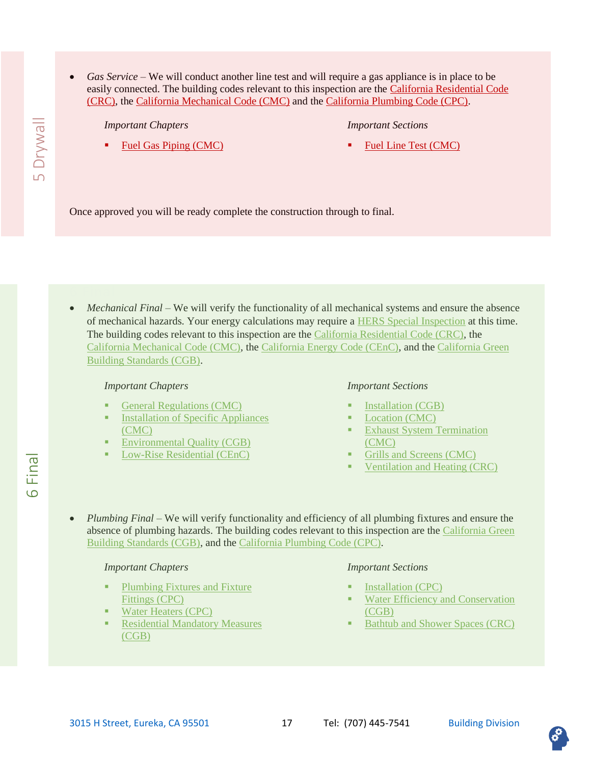- **S** Drywall 6 Final  $\overline{a}$  5 Drywall
- *Gas Service* We will conduct another line test and will require a gas appliance is in place to be easily connected. The building codes relevant to this inspection are the [California Residential Code](https://up.codes/viewer/california/irc-2018)  [\(CRC\),](https://up.codes/viewer/california/irc-2018) the [California Mechanical Code \(CMC\)](https://up.codes/viewer/california/ca-mechanical-code-2019) and the [California Plumbing Code \(CPC\).](https://up.codes/viewer/california/ca-plumbing-code-2019)

*Important Chapters*

#### *Important Sections*

**[Fuel Gas Piping \(CMC\)](https://up.codes/viewer/california/ca-mechanical-code-2019/chapter/13/fuel-gas-piping#13)** 

[Fuel Line Test \(CMC\)](https://up.codes/viewer/california/ca-mechanical-code-2019/chapter/13/fuel-gas-piping#1313.3)

Once approved you will be ready complete the construction through to final.

<span id="page-16-0"></span>• *Mechanical Final* – We will verify the functionality of all mechanical systems and ensure the absence of mechanical hazards. Your energy calculations may require a [HERS Special Inspection](#page-18-1) at this time. The building codes relevant to this inspection are the [California Residential Code \(CRC\),](https://up.codes/viewer/california/irc-2018) the [California Mechanical Code \(CMC\),](https://up.codes/viewer/california/ca-mechanical-code-2019) the [California Energy Code \(CEnC\),](https://up.codes/viewer/california/ca-energy-code-2019) and the [California Green](https://up.codes/viewer/california/ca-green-code-2019)  [Building Standards \(CGB\).](https://up.codes/viewer/california/ca-green-code-2019)

#### *Important Chapters*

- [General Regulations \(CMC\)](https://up.codes/viewer/california/ca-mechanical-code-2019/chapter/3/general-regulations#3)
- **Installation of Specific Appliances** [\(CMC\)](https://up.codes/viewer/california/ca-mechanical-code-2019/chapter/9/installation-of-specific-appliances#9)
- [Environmental Quality \(CGB\)](https://up.codes/viewer/california/ca-green-code-2019/chapter/4/residential-mandatory-measures#4.501)
- [Low-Rise Residential \(CEnC\)](https://up.codes/viewer/california/ca-energy-code-2019/chapter/8/low-rise-residential-buildings-performance-and-prescriptive-compliance-approache#8)

#### *Important Sections*

- **[Installation \(CGB\)](https://up.codes/viewer/california/ca-mechanical-code-2019/chapter/3/general-regulations#303.0)**
- [Location \(CMC\)](https://up.codes/viewer/california/ca-mechanical-code-2019/chapter/3/general-regulations#305.0)
- **Exhaust System Termination** [\(CMC\)](https://up.codes/viewer/california/ca-mechanical-code-2019/chapter/5/exhaust-systems#502.0)
- [Grills and Screens \(CMC\)](https://up.codes/viewer/california/ca-mechanical-code-2019/chapter/7/combustion-air#701.10)
- [Ventilation and Heating \(CRC\)](https://up.codes/viewer/california/irc-2018/chapter/3/building-planning#R303)
- *Plumbing Final –* We will verify functionality and efficiency of all plumbing fixtures and ensure the absence of plumbing hazards. The building codes relevant to this inspection are the [California Green](https://up.codes/viewer/california/ca-green-code-2019)  [Building Standards \(CGB\),](https://up.codes/viewer/california/ca-green-code-2019) and th[e California Plumbing Code \(CPC\).](https://up.codes/viewer/california/ca-plumbing-code-2019)

#### *Important Chapters*

- Plumbing Fixtures and Fixture [Fittings \(CPC\)](https://up.codes/viewer/california/ca-plumbing-code-2019/chapter/4/plumbing-fixtures-and-fixture-fittings#4)
- **[Water Heaters \(CPC\)](https://up.codes/viewer/california/ca-plumbing-code-2019/chapter/5/water-heaters#5)**
- **Residential Mandatory Measures** [\(CGB\)](https://up.codes/viewer/california/ca-green-code-2019/chapter/4/residential-mandatory-measures#4)

#### *Important Sections*

- [Installation \(CPC\)](https://up.codes/viewer/california/ca-plumbing-code-2019/chapter/4/plumbing-fixtures-and-fixture-fittings#402.0)
- **Water Efficiency and Conservation** [\(CGB\)](https://up.codes/viewer/california/ca-green-code-2019/chapter/4/residential-mandatory-measures#4.301)
- [Bathtub and Shower Spaces \(CRC\)](https://up.codes/viewer/california/irc-2018/chapter/3/building-planning#R307.2)

Final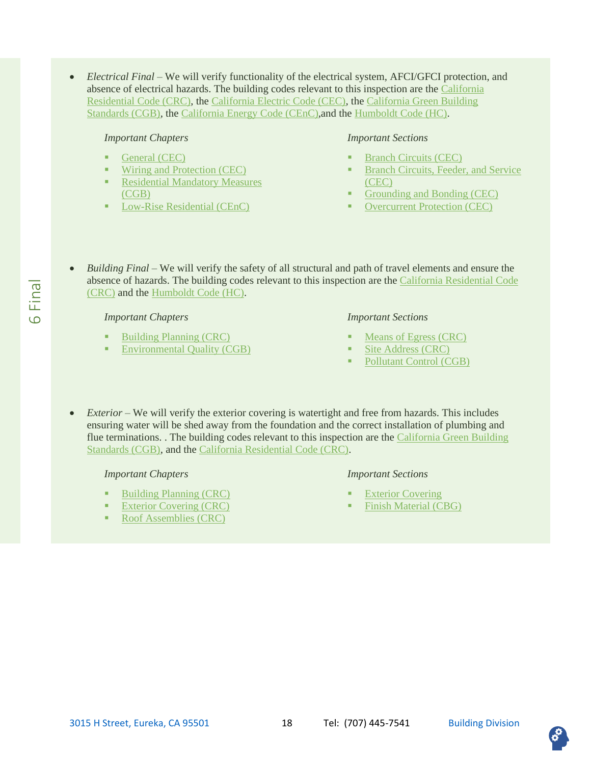• *Electrical Final* – We will verify functionality of the electrical system, AFCI/GFCI protection, and absence of electrical hazards. The building codes relevant to this inspection are the [California](https://up.codes/viewer/california/irc-2018)  [Residential Code \(CRC\),](https://up.codes/viewer/california/irc-2018) the [California Electric Code \(CEC\),](https://catalog.nfpa.org/NFPA-70-National-Electrical-Code-with-California-Amendments-P17223.aspx#:~:text=The%202019%20California%20Electrical%20Code%2C%20California%20Code%20of%20Regulations%20Title,protection%2C%20grounding%2C%20and%20installation.) the [California Green Building](https://up.codes/viewer/california/ca-green-code-2019)  [Standards \(CGB\),](https://up.codes/viewer/california/ca-green-code-2019) the [California Energy Code \(CEnC\),](https://up.codes/viewer/california/ca-energy-code-2019)and the [Humboldt Code \(HC\).](https://humboldt.county.codes/Code)

#### *Important Chapters*

- [General \(CEC\)](https://catalog.nfpa.org/NFPA-70-National-Electrical-Code-with-California-Amendments-P17223.aspx#:~:text=The%202019%20California%20Electrical%20Code%2C%20California%20Code%20of%20Regulations%20Title,protection%2C%20grounding%2C%20and%20installation.)
- **[Wiring and Protection \(CEC\)](https://catalog.nfpa.org/NFPA-70-National-Electrical-Code-with-California-Amendments-P17223.aspx#:~:text=The%202019%20California%20Electrical%20Code%2C%20California%20Code%20of%20Regulations%20Title,protection%2C%20grounding%2C%20and%20installation.)**
- **Residential Mandatory Measures** [\(CGB\)](https://up.codes/viewer/california/ca-green-code-2019/chapter/4/residential-mandatory-measures#4)
- [Low-Rise Residential \(CEnC\)](https://up.codes/viewer/california/ca-energy-code-2019/chapter/8/low-rise-residential-buildings-performance-and-prescriptive-compliance-approache#8)

#### *Important Sections*

- **[Branch Circuits \(CEC\)](https://catalog.nfpa.org/NFPA-70-National-Electrical-Code-with-California-Amendments-P17223.aspx#:~:text=The%202019%20California%20Electrical%20Code%2C%20California%20Code%20of%20Regulations%20Title,protection%2C%20grounding%2C%20and%20installation.)**
- **Branch Circuits, Feeder, and Service** [\(CEC\)](https://catalog.nfpa.org/NFPA-70-National-Electrical-Code-with-California-Amendments-P17223.aspx#:~:text=The%202019%20California%20Electrical%20Code%2C%20California%20Code%20of%20Regulations%20Title,protection%2C%20grounding%2C%20and%20installation.)
- [Grounding and Bonding \(CEC\)](https://catalog.nfpa.org/NFPA-70-National-Electrical-Code-with-California-Amendments-P17223.aspx#:~:text=The%202019%20California%20Electrical%20Code%2C%20California%20Code%20of%20Regulations%20Title,protection%2C%20grounding%2C%20and%20installation.)
- **[Overcurrent Protection \(CEC\)](https://catalog.nfpa.org/NFPA-70-National-Electrical-Code-with-California-Amendments-P17223.aspx#:~:text=The%202019%20California%20Electrical%20Code%2C%20California%20Code%20of%20Regulations%20Title,protection%2C%20grounding%2C%20and%20installation.)**
- *Building Final –* We will verify the safety of all structural and path of travel elements and ensure the absence of hazards. The building codes relevant to this inspection are the [California Residential Code](https://up.codes/viewer/california/irc-2018)  [\(CRC\)](https://up.codes/viewer/california/irc-2018) and the [Humboldt Code \(HC\).](https://humboldt.county.codes/Code)

#### *Important Chapters*

- **[Building Planning \(CRC\)](https://up.codes/viewer/california/irc-2018/chapter/3/building-planning#3)**
- [Environmental Quality \(CGB\)](https://up.codes/viewer/california/ca-green-code-2019/chapter/4/residential-mandatory-measures#4.501)

#### *Important Sections*

- [Means of Egress \(CRC\)](https://up.codes/viewer/california/irc-2018/chapter/3/building-planning#R31https://up.codes/viewer/california/irc-2018/chapter/3/building-planning)
- [Site Address \(CRC\)](https://up.codes/viewer/california/irc-2018/chapter/3/building-planning#R319)
- [Pollutant Control \(CGB\)](https://up.codes/viewer/california/ca-green-code-2019/chapter/4/residential-mandatory-measures#4.504)
- *Exterior –* We will verify the exterior covering is watertight and free from hazards. This includes ensuring water will be shed away from the foundation and the correct installation of plumbing and flue terminations. . The building codes relevant to this inspection are the [California Green Building](https://up.codes/viewer/california/ca-green-code-2019)  [Standards \(CGB\),](https://up.codes/viewer/california/ca-green-code-2019) and the [California Residential Code \(CRC\).](https://up.codes/viewer/california/irc-2018)

#### *Important Chapters*

- **[Building Planning \(CRC\)](https://up.codes/viewer/california/irc-2018/chapter/3/building-planning#3)**
- **[Exterior Covering \(CRC\)](https://up.codes/viewer/california/irc-2018/chapter/7/wall-covering#7)**
- [Roof Assemblies \(CRC\)](https://up.codes/viewer/california/irc-2018/chapter/9/roof-assemblies#9)

- **[Exterior Covering](https://up.codes/viewer/california/irc-2018/chapter/7/wall-covering#R703)**
- **[Finish Material \(CBG\)](https://up.codes/viewer/california/ca-green-code-2019/chapter/4/residential-mandatory-measures#4.504.2)**

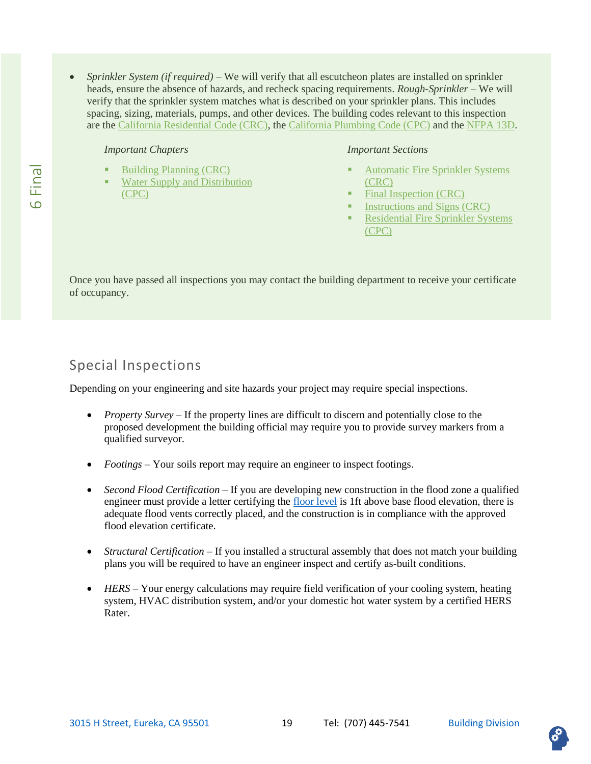• *Sprinkler System (if required) –* We will verify that all escutcheon plates are installed on sprinkler heads, ensure the absence of hazards, and recheck spacing requirements. *Rough-Sprinkler –* We will verify that the sprinkler system matches what is described on your sprinkler plans. This includes spacing, sizing, materials, pumps, and other devices. The building codes relevant to this inspection are the [California Residential Code \(CRC\),](https://up.codes/viewer/california/irc-2018) the [California Plumbing Code \(CPC\)](https://up.codes/viewer/california/ca-plumbing-code-2019) and the [NFPA 13D.](https://www.nfpa.org/codes-and-standards/all-codes-and-standards/list-of-codes-and-standards/detail?code=13D)

#### *Important Chapters*

- **[Building Planning \(CRC\)](https://up.codes/viewer/california/irc-2018/chapter/3/building-planning#3)**
- **Water Supply and Distribution** [\(CPC\)](https://up.codes/viewer/california/ca-plumbing-code-2019/chapter/6/water-supply-and-distribution#6)

#### *Important Sections*

- **Automatic Fire Sprinkler Systems** [\(CRC\)](https://up.codes/viewer/california/irc-2018/chapter/3/building-planning#R313)
- [Final Inspection \(CRC\)](https://up.codes/viewer/california/irc-2018/chapter/3/building-planning#new_R313.3.8.2)
- [Instructions and Signs \(CRC\)](https://up.codes/viewer/california/irc-2018/chapter/3/building-planning#new_R313.3.7)
- **Residential Fire Sprinkler Systems** [\(CPC\)](https://up.codes/viewer/california/ca-plumbing-code-2019/chapter/6/water-supply-and-distribution#612.0)

Once you have passed all inspections you may contact the building department to receive your certificate of occupancy.

### <span id="page-18-0"></span>Special Inspections

Depending on your engineering and site hazards your project may require special inspections.

- *Property Survey* If the property lines are difficult to discern and potentially close to the proposed development the building official may require you to provide survey markers from a qualified surveyor.
- *Footings* Your soils report may require an engineer to inspect footings.
- *Second Flood Certification* If you are developing new construction in the flood zone a qualified engineer must provide a letter certifying the [floor level](https://up.codes/viewer/california/irc-2018/chapter/3/building-planning#R322.1.4.1) is 1ft above base flood elevation, there is adequate flood vents correctly placed, and the construction is in compliance with the approved flood elevation certificate.
- *Structural Certification* If you installed a structural assembly that does not match your building plans you will be required to have an engineer inspect and certify as-built conditions.
- <span id="page-18-1"></span>• *HERS –* Your energy calculations may require field verification of your cooling system, heating system, HVAC distribution system, and/or your domestic hot water system by a certified HERS Rater.

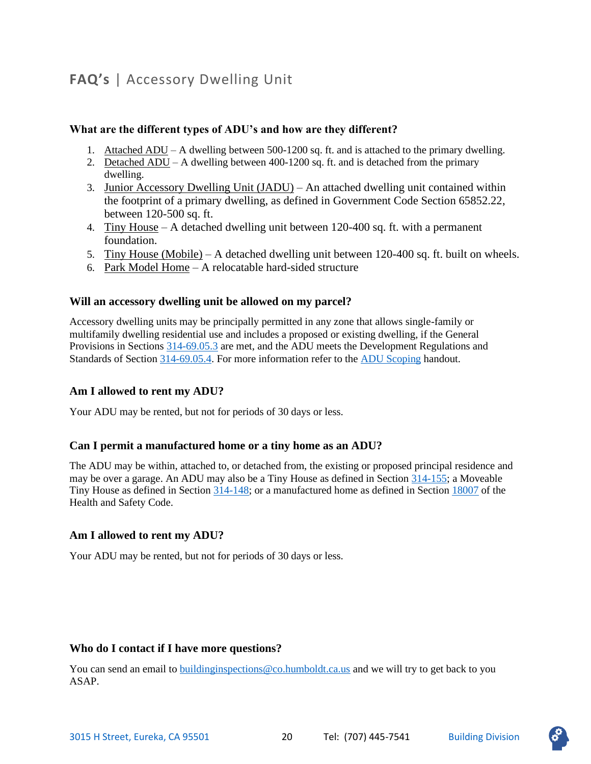# <span id="page-19-0"></span>**FAQ's** | Accessory Dwelling Unit

#### **What are the different types of ADU's and how are they different?**

- 1. Attached ADU A dwelling between 500-1200 sq. ft. and is attached to the primary dwelling.
- 2. Detached ADU A dwelling between 400-1200 sq. ft. and is detached from the primary dwelling.
- 3. Junior Accessory Dwelling Unit (JADU) An attached dwelling unit contained within the footprint of a primary dwelling, as defined in Government Code Section 65852.22, between 120-500 sq. ft.
- 4. Tiny House A detached dwelling unit between 120-400 sq. ft. with a permanent foundation.
- 5. Tiny House (Mobile) A detached dwelling unit between 120-400 sq. ft. built on wheels.
- 6. Park Model Home A relocatable hard-sided structure

#### **Will an accessory dwelling unit be allowed on my parcel?**

Accessory dwelling units may be principally permitted in any zone that allows single-family or multifamily dwelling residential use and includes a proposed or existing dwelling, if the General Provisions in Sections [314-69.05.3](https://humboldt.county.codes/Code/314-69.05.3) are met, and the ADU meets the Development Regulations and Standards of Section [314-69.05.4.](https://humboldt.county.codes/Code/314-69.05.4) For more information refer to th[e ADU Scoping](https://drive.google.com/file/d/1fSZMqNpJaljDSpkSrz7cjYafon3ao22O/view?usp=sharing) handout.

#### **Am I allowed to rent my ADU?**

Your ADU may be rented, but not for periods of 30 days or less.

#### **Can I permit a manufactured home or a tiny home as an ADU?**

The ADU may be within, attached to, or detached from, the existing or proposed principal residence and may be over a garage. An ADU may also be a Tiny House as defined in Section [314-155;](https://humboldt.county.codes/Code/314-155) a Moveable Tiny House as defined in Section [314-148;](https://humboldt.county.codes/Code/314-148) or a manufactured home as defined in Section [18007](https://humboldt.county.codes/CA/HSC/18007) of the Health and Safety Code.

#### **Am I allowed to rent my ADU?**

Your ADU may be rented, but not for periods of 30 days or less.

#### **Who do I contact if I have more questions?**

You can send an email to [buildinginspections@co.humboldt.ca.us](mailto:buildinginspections@co.humboldt.ca.us) and we will try to get back to you ASAP.